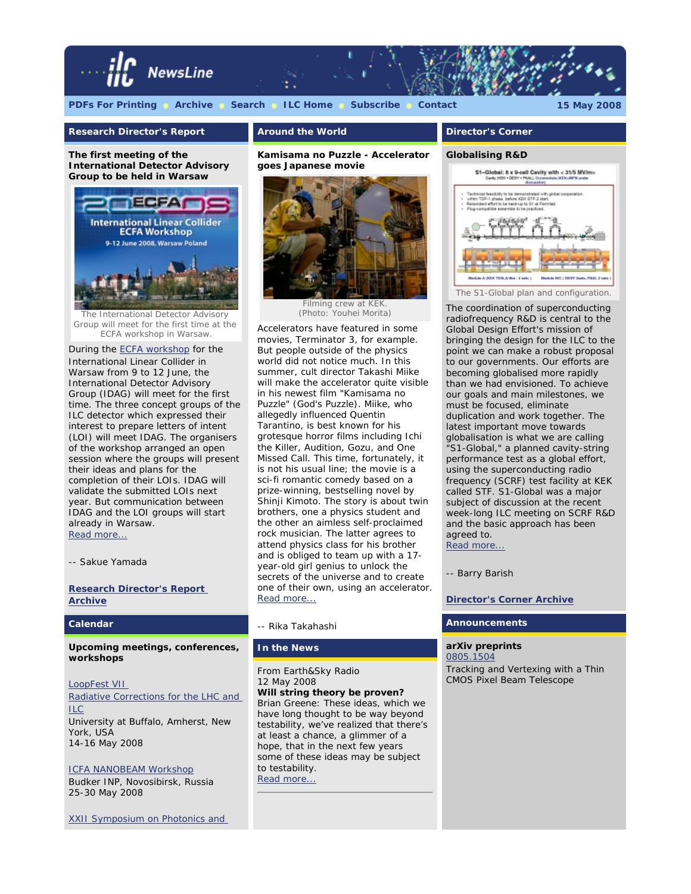

# **Research Director's Report**

**The first meeting of the International Detector Advisory Group to be held in Warsaw** 



The International Detector Advisory Group will meet for the first time at the ECFA workshop in Warsaw.

During the [ECFA workshop](http://ecfa2008.fuw.edu.pl/) for the International Linear Collider in Warsaw from 9 to 12 June, the International Detector Advisory Group (IDAG) will meet for the first time. The three concept groups of the ILC detector which expressed their interest to prepare letters of intent (LOI) will meet IDAG. The organisers of the workshop arranged an open session where the groups will present their ideas and plans for the completion of their LOIs. IDAG will validate the submitted LOIs next year. But communication between IDAG and the LOI groups will start already in Warsaw. [Read more...](http://www.linearcollider.org/cms/?pid=1000538)

*-- Sakue Yamada*

**[Research Director's Report](http://www.linearcollider.org/cms/?pid=1000458) [Archive](http://www.linearcollider.org/cms/?pid=1000458)**

## **Calendar**

**Upcoming meetings, conferences, workshops**

[LoopFest VII](http://electron.physics.buffalo.edu/loopfest7/) [Radiative Corrections for the LHC and](http://electron.physics.buffalo.edu/loopfest7/) [ILC](http://electron.physics.buffalo.edu/loopfest7/) University at Buffalo, Amherst, New York, USA 14-16 May 2008

[ICFA NANOBEAM Workshop](http://ssrc.inp.nsk.su/NB08/) Budker INP, Novosibirsk, Russia 25-30 May 2008

[XXII Symposium on Photonics and](http://wilga.ise.pw.edu.pl/wilga/index.jsf)

# **Around the World**

**Kamisama no Puzzle - Accelerator goes Japanese movie** 



Filming crew at KEK (Photo: Youhei Morita)

Accelerators have featured in some movies, Terminator 3, for example. But people outside of the physics world did not notice much. In this summer, cult director Takashi Miike will make the accelerator quite visible in his newest film "Kamisama no Puzzle" (God's Puzzle). Miike, who allegedly influenced Quentin Tarantino, is best known for his grotesque horror films including *Ichi the Killer*, *Audition*, *Gozu*, and *One Missed Call*. This time, fortunately, it is not his usual line; the movie is a sci-fi romantic comedy based on a prize-winning, bestselling novel by Shinji Kimoto. The story is about twin brothers, one a physics student and the other an aimless self-proclaimed rock musician. The latter agrees to attend physics class for his brother and is obliged to team up with a 17 year-old girl genius to unlock the secrets of the universe and to create one of their own, using an accelerator. [Read more...](http://www.linearcollider.org/newsline/readmore_20080515_atw.html)

## *-- Rika Takahashi*

## **In the News**

From *Earth&Sky Radio* 12 May 2008 **Will string theory be proven?** Brian Greene: These ideas, which we have long thought to be way beyond testability, we've realized that there's at least a chance, a glimmer of a hope, that in the next few years some of these ideas may be subject to testability.

[Read more...](http://www.earthsky.org/radioshows/52506/will-string-theory-be-proven)

# **Director's Corner**

#### **Globalising R&D**



The coordination of superconducting radiofrequency R&D is central to the Global Design Effort's mission of bringing the design for the ILC to the point we can make a robust proposal to our governments. Our efforts are becoming globalised more rapidly than we had envisioned. To achieve our goals and main milestones, we must be focused, eliminate duplication and work together. The latest important move towards globalisation is what we are calling "S1-Global," a planned cavity-string performance test as a global effort, using the superconducting radio frequency (SCRF) test facility at KEK called STF. S1-Global was a major subject of discussion at the recent week-long ILC meeting on SCRF R&D and the basic approach has been agreed to. [Read more...](http://www.linearcollider.org/cms/?pid=1000537)

#### *-- Barry Barish*

**[Director's Corner Archive](http://www.linearcollider.org/cms/?pid=1000026)**

## **Announcements**

**arXiv preprints** [0805.1504](http://arxiv.org/abs/0805.1504)  Tracking and Vertexing with a Thin CMOS Pixel Beam Telescope